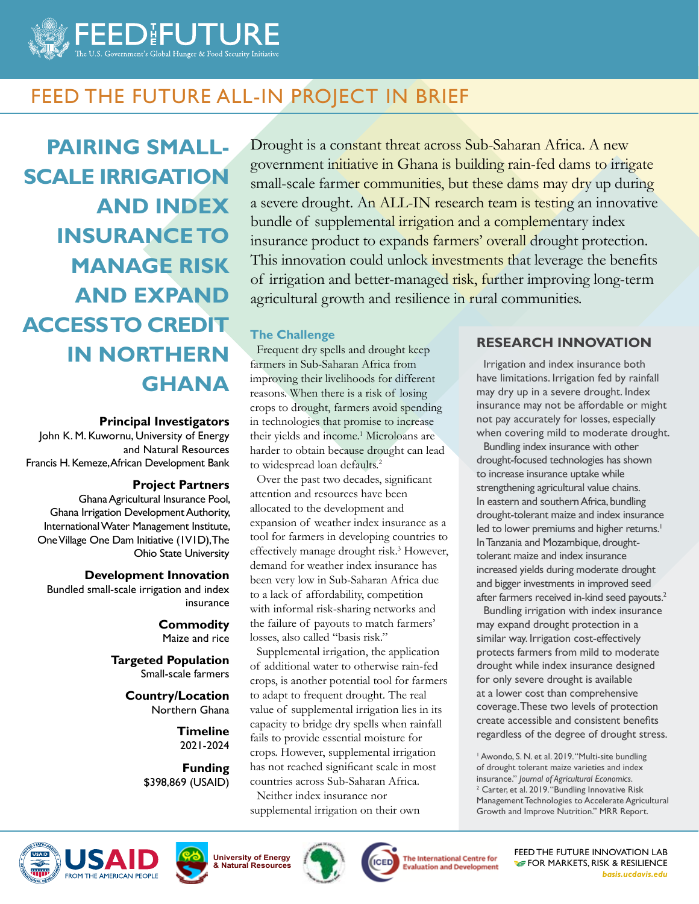

# FEED THE FUTURE ALL-IN PROJECT IN BRIEF

**PAIRING SMALL-SCALE IRRIGATION AND INDEX INSURANCE TO MANAGE RISK AND EXPAND ACCESS TO CREDIT IN NORTHERN GHANA**

#### **Principal Investigators**

John K. M. Kuwornu, University of Energy and Natural Resources Francis H. Kemeze, African Development Bank

#### **Project Partners**

Ghana Agricultural Insurance Pool, Ghana Irrigation Development Authority, International Water Management Institute, One Village One Dam Initiative (1V1D), The Ohio State University

#### **Development Innovation**

Bundled small-scale irrigation and index insurance

> **Commodity** Maize and rice

**Targeted Population** Small-scale farmers

> **Country/Location** Northern Ghana

> > **Timeline** 2021-2024

**Funding** \$398,869 (USAID)

Drought is a constant threat across Sub-Saharan Africa. A new government initiative in Ghana is building rain-fed dams to irrigate small-scale farmer communities, but these dams may dry up during a severe drought. An ALL-IN research team is testing an innovative bundle of supplemental irrigation and a complementary index insurance product to expands farmers' overall drought protection. This innovation could unlock investments that leverage the benefits of irrigation and better-managed risk, further improving long-term agricultural growth and resilience in rural communities.

## **The Challenge**

Frequent dry spells and drought keep farmers in Sub-Saharan Africa from improving their livelihoods for different reasons. When there is a risk of losing crops to drought, farmers avoid spending in technologies that promise to increase their yields and income.<sup>1</sup> Microloans are harder to obtain because drought can lead to widespread loan defaults.<sup>2</sup>

Over the past two decades, significant attention and resources have been allocated to the development and expansion of weather index insurance as a tool for farmers in developing countries to effectively manage drought risk.<sup>3</sup> However, demand for weather index insurance has been very low in Sub-Saharan Africa due to a lack of affordability, competition with informal risk-sharing networks and the failure of payouts to match farmers' losses, also called "basis risk."

Supplemental irrigation, the application of additional water to otherwise rain-fed crops, is another potential tool for farmers to adapt to frequent drought. The real value of supplemental irrigation lies in its capacity to bridge dry spells when rainfall fails to provide essential moisture for crops. However, supplemental irrigation has not reached significant scale in most countries across Sub-Saharan Africa.

Neither index insurance nor supplemental irrigation on their own





FEED THE FUTURE INNOVATION LAB **FOR MARKETS, RISK & RESILIENCE** *basis.ucdavis.edu*

## **RESEARCH INNOVATION**

Irrigation and index insurance both have limitations. Irrigation fed by rainfall may dry up in a severe drought. Index insurance may not be affordable or might not pay accurately for losses, especially when covering mild to moderate drought.

Bundling index insurance with other drought-focused technologies has shown to increase insurance uptake while strengthening agricultural value chains. In eastern and southern Africa, bundling drought-tolerant maize and index insurance led to lower premiums and higher returns.<sup>1</sup> In Tanzania and Mozambique, droughttolerant maize and index insurance increased yields during moderate drought and bigger investments in improved seed after farmers received in-kind seed payouts.<sup>2</sup>

Bundling irrigation with index insurance may expand drought protection in a similar way. Irrigation cost-effectively protects farmers from mild to moderate drought while index insurance designed for only severe drought is available at a lower cost than comprehensive coverage. These two levels of protection create accessible and consistent benefits regardless of the degree of drought stress.

<sup>1</sup> Awondo, S. N. et al. 2019. "Multi-site bundling of drought tolerant maize varieties and index insurance." *Journal of Agricultural Economics*. <sup>2</sup> Carter, et al. 2019. "Bundling Innovative Risk Management Technologies to Accelerate Agricultural Growth and Improve Nutrition." MRR Report.